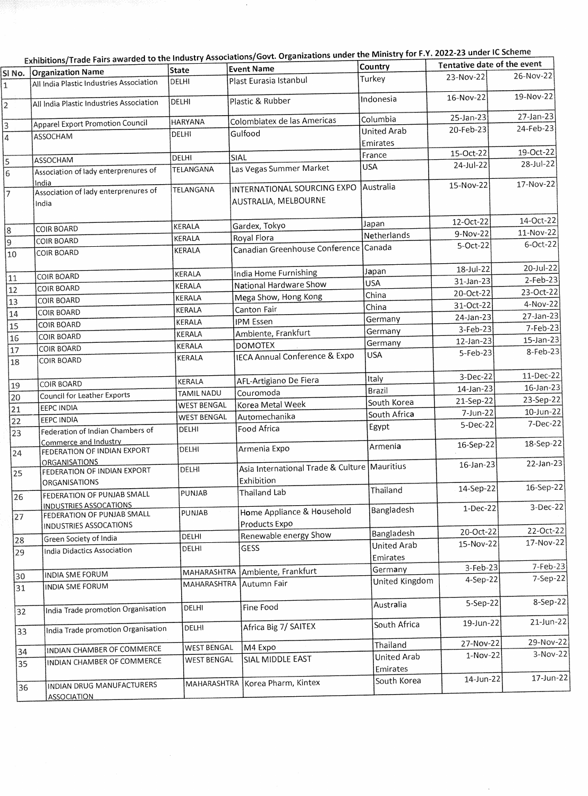|                | Exhibitions/Trade Fairs awarded to the Industry Associations/Govt. Organizations under the ivinistry for r.f. zuzz-z3 under it Scheme |                            |                                                     |                         |                             |              |
|----------------|---------------------------------------------------------------------------------------------------------------------------------------|----------------------------|-----------------------------------------------------|-------------------------|-----------------------------|--------------|
| SINo.          | <b>Organization Name</b>                                                                                                              | State                      | <b>Event Name</b>                                   | <b>Country</b>          | Tentative date of the event |              |
| 1              | All India Plastic Industries Association                                                                                              | DELHI                      | Plast Eurasia Istanbul                              | Turkey                  | 23-Nov-22                   | 26-Nov-22    |
| $\overline{2}$ | All India Plastic Industries Association                                                                                              | DELHI                      | Plastic & Rubber                                    | Indonesia               | 16-Nov-22                   | 19-Nov-22    |
|                |                                                                                                                                       | <b>HARYANA</b>             | Colombiatex de las Americas                         | Columbia                | 25-Jan-23                   | 27-Jan-23    |
| 3              | <b>Apparel Export Promotion Council</b>                                                                                               | DELHI                      | Gulfood                                             | <b>United Arab</b>      | 20-Feb-23                   | 24-Feb-23    |
| 4              | ASSOCHAM                                                                                                                              |                            |                                                     | Emirates                |                             |              |
|                |                                                                                                                                       | DELHI                      | SIAL                                                | France                  | 15-Oct-22                   | 19-Oct-22    |
| $\vert$ 5      | ASSOCHAM<br>Association of lady enterprenures of                                                                                      | TELANGANA                  | Las Vegas Summer Market                             | <b>USA</b>              | 24-Jul-22                   | 28-Jul-22    |
| $\overline{6}$ | India                                                                                                                                 |                            |                                                     |                         | 15-Nov-22                   | 17-Nov-22    |
| 7              | Association of lady enterprenures of<br>India                                                                                         | TELANGANA                  | INTERNATIONAL SOURCING EXPO<br>AUSTRALIA, MELBOURNE | Australia               |                             |              |
|                | <b>COIR BOARD</b>                                                                                                                     | KERALA                     | Gardex, Tokyo                                       | Japan                   | 12-Oct-22                   | 14-Oct-22    |
| 8              | <b>COIR BOARD</b>                                                                                                                     | KERALA                     | Royal Flora                                         | Netherlands             | 9-Nov-22                    | 11-Nov-22    |
| 9<br>10        | <b>COIR BOARD</b>                                                                                                                     | KERALA                     | Canadian Greenhouse Conference Canada               |                         | 5-Oct-22                    | $6$ -Oct-22  |
|                |                                                                                                                                       | KERALA                     | India Home Furnishing                               | Japan                   | 18-Jul-22                   | 20-Jul-22    |
| 11             | <b>COIR BOARD</b>                                                                                                                     | KERALA                     | National Hardware Show                              | <b>USA</b>              | 31-Jan-23                   | $2$ -Feb-23  |
| 12             | <b>COIR BOARD</b>                                                                                                                     | KERALA                     | Mega Show, Hong Kong                                | China                   | 20-Oct-22                   | 23-Oct-22    |
| 13             | <b>COIR BOARD</b>                                                                                                                     | KERALA                     | Canton Fair                                         | China                   | 31-Oct-22                   | 4-Nov-22     |
| 14             | <b>COIR BOARD</b>                                                                                                                     | KERALA                     | <b>IPM Essen</b>                                    | Germany                 | 24-Jan-23                   | 27-Jan-23    |
| 15             | <b>COIR BOARD</b>                                                                                                                     | KERALA                     | Ambiente, Frankfurt                                 | Germany                 | 3-Feb-23                    | 7-Feb-23     |
| 16             | COIR BOARD                                                                                                                            | KERALA                     | <b>DOMOTEX</b>                                      | Germany                 | $12$ -Jan-23                | 15-Jan-23    |
| 17<br>18       | <b>COIR BOARD</b><br>COIR BOARD                                                                                                       | KERALA                     | <b>IECA Annual Conference &amp; Expo</b>            | <b>USA</b>              | 5-Feb-23                    | 8-Feb-23     |
|                | COIR BOARD                                                                                                                            | KERALA                     | AFL-Artigiano De Fiera                              | Italy                   | 3-Dec-22                    | 11-Dec-22    |
| 19             | Council for Leather Exports                                                                                                           | TAMIL NADU                 | Couromoda                                           | Brazil                  | 14-Jan-23                   | 16-Jan-23    |
| 20             | <b>EEPC INDIA</b>                                                                                                                     | <b>WEST BENGAL</b>         | Korea Metal Week                                    | South Korea             | 21-Sep-22                   | 23-Sep-22    |
| 21             | <b>EEPC INDIA</b>                                                                                                                     | <b>WEST BENGAL</b>         | Automechanika                                       | South Africa            | 7-Jun-22                    | 10-Jun-22    |
| 22<br>23       | Federation of Indian Chambers of                                                                                                      | DELHI                      | Food Africa                                         | Egypt                   | 5-Dec-22                    | 7-Dec-22     |
| 24             | Commerce and Industry<br>FEDERATION OF INDIAN EXPORT                                                                                  | DELHI                      | Armenia Expo                                        | Armenia                 | 16-Sep-22                   | 18-Sep-22    |
| 25             | <b>ORGANISATIONS</b><br>FEDERATION OF INDIAN EXPORT                                                                                   | DELHI                      | Asia International Trade & Culture   Mauritius      |                         | 16-Jan-23                   | 22-Jan-23    |
| 26             | ORGANISATIONS<br>FEDERATION OF PUNJAB SMALL                                                                                           | PUNJAB                     | Exhibition<br>Thailand Lab                          | Thailand                | 14-Sep-22                   | 16-Sep-22    |
| 27             | <b>INDUSTRIES ASSOCATIONS</b><br>FEDERATION OF PUNJAB SMALL                                                                           | PUNJAB                     | Home Appliance & Household<br>Products Expo         | Bangladesh              | 1-Dec-22                    | 3-Dec-22     |
|                | INDUSTRIES ASSOCATIONS                                                                                                                | DELHI                      | Renewable energy Show                               | Bangladesh              | 20-Oct-22                   | 22-Oct-22    |
| 28<br>29       | Green Society of India<br>India Didactics Association                                                                                 | DELHI                      | <b>GESS</b>                                         | United Arab<br>Emirates | 15-Nov-22                   | 17-Nov-22    |
|                |                                                                                                                                       |                            | Ambiente, Frankfurt                                 | Germany                 | $3-Feb-23$                  | 7-Feb-23     |
| 30<br>31       | INDIA SME FORUM<br>INDIA SME FORUM                                                                                                    | MAHARASHTRA<br>MAHARASHTRA | Autumn Fair                                         | United Kingdom          | 4-Sep-22                    | 7-Sep-22     |
|                |                                                                                                                                       |                            |                                                     | Australia               | 5-Sep-22                    | 8-Sep-22     |
| 32             | India Trade promotion Organisation                                                                                                    | DELHI                      | Fine Food                                           |                         |                             | $21$ -Jun-22 |
| 33             | India Trade promotion Organisation                                                                                                    | DELHI                      | Africa Big 7/ SAITEX                                | South Africa            | 19-Jun-22                   |              |
| 34             | INDIAN CHAMBER OF COMMERCE                                                                                                            | <b>WEST BENGAL</b>         | M4 Expo                                             | Thailand                | 27-Nov-22                   | 29-Nov-22    |
| 35             | INDIAN CHAMBER OF COMMERCE                                                                                                            | <b>WEST BENGAL</b>         | SIAL MIDDLE EAST                                    | United Arab<br>Emirates | 1-Nov-22                    | $3-Nov-22$   |
| 36             | INDIAN DRUG MANUFACTURERS                                                                                                             |                            | MAHARASHTRA Korea Pharm, Kintex                     | South Korea             | 14-Jun-22                   | $17$ -Jun-22 |
|                | <b>ASSOCIATION</b>                                                                                                                    |                            |                                                     |                         |                             |              |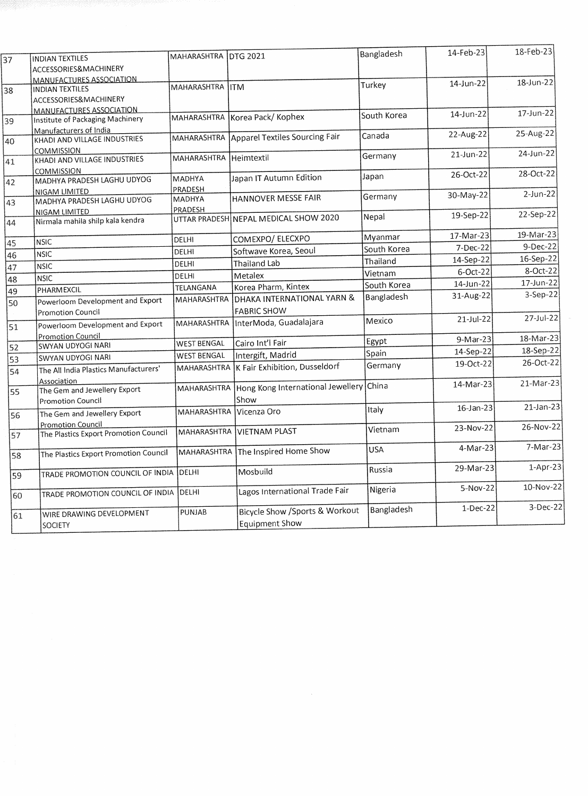| ACCESSORIES&MACHINERY<br><b>MANUFACTURES ASSOCIATION</b><br>18-Jun-22<br>14-Jun-22<br>Turkey<br>MAHARASHTRA ITM<br><b>INDIAN TEXTILES</b><br>38<br>ACCESSORIES&MACHINERY<br>MANUFACTURES ASSOCIATION<br>17-Jun-22<br>14-Jun-22<br>South Korea<br>MAHARASHTRA Korea Pack/ Kophex<br>Institute of Packaging Machinery<br>39<br>Manufacturers of India<br>25-Aug-22<br>22-Aug-22<br>Canada<br>MAHARASHTRA Apparel Textiles Sourcing Fair<br>KHADI AND VILLAGE INDUSTRIES<br><b>COMMISSION</b><br>24-Jun-22<br>21-Jun-22<br>Germany<br>Heimtextil<br>MAHARASHTRA<br>KHADI AND VILLAGE INDUSTRIES<br><b>COMMISSION</b><br>28-Oct-22<br>26-Oct-22<br>Japan<br>Japan IT Autumn Edition<br><b>MADHYA</b><br>MADHYA PRADESH LAGHU UDYOG<br>42<br>PRADESH<br>NIGAM LIMITED<br>$2$ -Jun-22<br>30-May-22<br>Germany<br>HANNOVER MESSE FAIR<br><b>MADHYA</b><br>MADHYA PRADESH LAGHU UDYOG<br>43<br><b>PRADESH</b><br>NIGAM LIMITED<br>22-Sep-22<br>19-Sep-22<br>Nepal<br>UTTAR PRADESH NEPAL MEDICAL SHOW 2020<br>Nirmala mahila shilp kala kendra<br>44<br>19-Mar-23<br>17-Mar-23<br>Myanmar<br>COMEXPO/ ELECXPO<br>DELHI<br><b>NSIC</b><br>45<br>9-Dec-22<br>$7-Dec-22$<br>South Korea<br><b>DELHI</b><br>Softwave Korea, Seoul<br><b>NSIC</b><br>46<br>16-Sep-22<br>14-Sep-22<br>Thailand<br>Thailand Lab<br>DELHI<br><b>NSIC</b><br>47<br>8-Oct-22<br>6-Oct-22<br>Vietnam<br>Metalex<br>DELHI<br><b>NSIC</b><br>48<br>17-Jun-22<br>14-Jun-22<br>South Korea<br>Korea Pharm, Kintex<br>TELANGANA<br>PHARMEXCIL<br>49<br>3-Sep-22<br>31-Aug-22<br>Bangladesh<br>DHAKA INTERNATIONAL YARN &<br>MAHARASHTRA<br>Powerloom Development and Export<br>50<br><b>FABRIC SHOW</b><br><b>Promotion Council</b><br>27-Jul-22<br>$21 -$ Jul-22<br>Mexico<br>InterModa, Guadalajara<br>MAHARASHTRA<br>Powerloom Development and Export<br>51<br><b>Promotion Council</b><br>18-Mar-23<br>9-Mar-23<br>Egypt<br>Cairo Int'l Fair<br><b>WEST BENGAL</b><br><b>SWYAN UDYOGI NARI</b><br>52<br>18-Sep-22<br>14-Sep-22<br>Spain<br>Intergift, Madrid<br><b>WEST BENGAL</b><br><b>SWYAN UDYOGI NARI</b><br>53<br>26-Oct-22<br>19-Oct-22<br>Germany<br>K Fair Exhibition, Dusseldorf<br>MAHARASHTRA<br>The All India Plastics Manufacturers'<br>54<br>Association<br>21-Mar-23<br>14-Mar-23<br><b>l</b> China<br>Hong Kong International Jewellery<br>MAHARASHTRA<br>The Gem and Jewellery Export<br>55<br>Show<br><b>Promotion Council</b><br>$21$ -Jan-23<br>$16$ -Jan-23<br>Italy<br>Vicenza Oro<br>MAHARASHTRA<br>The Gem and Jewellery Export<br>56<br>Promotion Council<br>26-Nov-22<br>23-Nov-22<br>Vietnam<br><b>VIETNAM PLAST</b><br>MAHARASHTRA<br>The Plastics Export Promotion Council<br>57<br>7-Mar-23<br>4-Mar-23<br><b>USA</b><br>MAHARASHTRA The Inspired Home Show<br>The Plastics Export Promotion Council<br>58<br>29-Mar-23<br>Russia<br>Mosbuild<br>DELHI<br>TRADE PROMOTION COUNCIL OF INDIA<br>59<br>5-Nov-22<br>Nigeria<br>Lagos International Trade Fair<br>TRADE PROMOTION COUNCIL OF INDIA DELHI<br>60<br>$1-Dec-22$<br>Bangladesh<br><b>Bicycle Show / Sports &amp; Workout</b><br>PUNJAB<br>WIRE DRAWING DEVELOPMENT<br>61<br>Equipment Show<br>SOCIETY |    | <b>INDIAN TEXTILES</b> | MAHARASHTRA IDTG 2021 | Bangladesh | 14-Feb-23 | 18-Feb-23 |
|---------------------------------------------------------------------------------------------------------------------------------------------------------------------------------------------------------------------------------------------------------------------------------------------------------------------------------------------------------------------------------------------------------------------------------------------------------------------------------------------------------------------------------------------------------------------------------------------------------------------------------------------------------------------------------------------------------------------------------------------------------------------------------------------------------------------------------------------------------------------------------------------------------------------------------------------------------------------------------------------------------------------------------------------------------------------------------------------------------------------------------------------------------------------------------------------------------------------------------------------------------------------------------------------------------------------------------------------------------------------------------------------------------------------------------------------------------------------------------------------------------------------------------------------------------------------------------------------------------------------------------------------------------------------------------------------------------------------------------------------------------------------------------------------------------------------------------------------------------------------------------------------------------------------------------------------------------------------------------------------------------------------------------------------------------------------------------------------------------------------------------------------------------------------------------------------------------------------------------------------------------------------------------------------------------------------------------------------------------------------------------------------------------------------------------------------------------------------------------------------------------------------------------------------------------------------------------------------------------------------------------------------------------------------------------------------------------------------------------------------------------------------------------------------------------------------------------------------------------------------------------------------------------------------------------------------------------------------------------------------------------------------------------------------------------------------------------------------------------------------------------------------------------|----|------------------------|-----------------------|------------|-----------|-----------|
|                                                                                                                                                                                                                                                                                                                                                                                                                                                                                                                                                                                                                                                                                                                                                                                                                                                                                                                                                                                                                                                                                                                                                                                                                                                                                                                                                                                                                                                                                                                                                                                                                                                                                                                                                                                                                                                                                                                                                                                                                                                                                                                                                                                                                                                                                                                                                                                                                                                                                                                                                                                                                                                                                                                                                                                                                                                                                                                                                                                                                                                                                                                                                         | 37 |                        |                       |            |           |           |
|                                                                                                                                                                                                                                                                                                                                                                                                                                                                                                                                                                                                                                                                                                                                                                                                                                                                                                                                                                                                                                                                                                                                                                                                                                                                                                                                                                                                                                                                                                                                                                                                                                                                                                                                                                                                                                                                                                                                                                                                                                                                                                                                                                                                                                                                                                                                                                                                                                                                                                                                                                                                                                                                                                                                                                                                                                                                                                                                                                                                                                                                                                                                                         |    |                        |                       |            |           |           |
|                                                                                                                                                                                                                                                                                                                                                                                                                                                                                                                                                                                                                                                                                                                                                                                                                                                                                                                                                                                                                                                                                                                                                                                                                                                                                                                                                                                                                                                                                                                                                                                                                                                                                                                                                                                                                                                                                                                                                                                                                                                                                                                                                                                                                                                                                                                                                                                                                                                                                                                                                                                                                                                                                                                                                                                                                                                                                                                                                                                                                                                                                                                                                         |    |                        |                       |            |           |           |
|                                                                                                                                                                                                                                                                                                                                                                                                                                                                                                                                                                                                                                                                                                                                                                                                                                                                                                                                                                                                                                                                                                                                                                                                                                                                                                                                                                                                                                                                                                                                                                                                                                                                                                                                                                                                                                                                                                                                                                                                                                                                                                                                                                                                                                                                                                                                                                                                                                                                                                                                                                                                                                                                                                                                                                                                                                                                                                                                                                                                                                                                                                                                                         |    |                        |                       |            |           |           |
|                                                                                                                                                                                                                                                                                                                                                                                                                                                                                                                                                                                                                                                                                                                                                                                                                                                                                                                                                                                                                                                                                                                                                                                                                                                                                                                                                                                                                                                                                                                                                                                                                                                                                                                                                                                                                                                                                                                                                                                                                                                                                                                                                                                                                                                                                                                                                                                                                                                                                                                                                                                                                                                                                                                                                                                                                                                                                                                                                                                                                                                                                                                                                         |    |                        |                       |            |           |           |
|                                                                                                                                                                                                                                                                                                                                                                                                                                                                                                                                                                                                                                                                                                                                                                                                                                                                                                                                                                                                                                                                                                                                                                                                                                                                                                                                                                                                                                                                                                                                                                                                                                                                                                                                                                                                                                                                                                                                                                                                                                                                                                                                                                                                                                                                                                                                                                                                                                                                                                                                                                                                                                                                                                                                                                                                                                                                                                                                                                                                                                                                                                                                                         |    |                        |                       |            |           |           |
| $1-Apr-23$<br>10-Nov-22<br>3-Dec-22                                                                                                                                                                                                                                                                                                                                                                                                                                                                                                                                                                                                                                                                                                                                                                                                                                                                                                                                                                                                                                                                                                                                                                                                                                                                                                                                                                                                                                                                                                                                                                                                                                                                                                                                                                                                                                                                                                                                                                                                                                                                                                                                                                                                                                                                                                                                                                                                                                                                                                                                                                                                                                                                                                                                                                                                                                                                                                                                                                                                                                                                                                                     |    |                        |                       |            |           |           |
|                                                                                                                                                                                                                                                                                                                                                                                                                                                                                                                                                                                                                                                                                                                                                                                                                                                                                                                                                                                                                                                                                                                                                                                                                                                                                                                                                                                                                                                                                                                                                                                                                                                                                                                                                                                                                                                                                                                                                                                                                                                                                                                                                                                                                                                                                                                                                                                                                                                                                                                                                                                                                                                                                                                                                                                                                                                                                                                                                                                                                                                                                                                                                         | 40 |                        |                       |            |           |           |
|                                                                                                                                                                                                                                                                                                                                                                                                                                                                                                                                                                                                                                                                                                                                                                                                                                                                                                                                                                                                                                                                                                                                                                                                                                                                                                                                                                                                                                                                                                                                                                                                                                                                                                                                                                                                                                                                                                                                                                                                                                                                                                                                                                                                                                                                                                                                                                                                                                                                                                                                                                                                                                                                                                                                                                                                                                                                                                                                                                                                                                                                                                                                                         |    |                        |                       |            |           |           |
|                                                                                                                                                                                                                                                                                                                                                                                                                                                                                                                                                                                                                                                                                                                                                                                                                                                                                                                                                                                                                                                                                                                                                                                                                                                                                                                                                                                                                                                                                                                                                                                                                                                                                                                                                                                                                                                                                                                                                                                                                                                                                                                                                                                                                                                                                                                                                                                                                                                                                                                                                                                                                                                                                                                                                                                                                                                                                                                                                                                                                                                                                                                                                         | 41 |                        |                       |            |           |           |
|                                                                                                                                                                                                                                                                                                                                                                                                                                                                                                                                                                                                                                                                                                                                                                                                                                                                                                                                                                                                                                                                                                                                                                                                                                                                                                                                                                                                                                                                                                                                                                                                                                                                                                                                                                                                                                                                                                                                                                                                                                                                                                                                                                                                                                                                                                                                                                                                                                                                                                                                                                                                                                                                                                                                                                                                                                                                                                                                                                                                                                                                                                                                                         |    |                        |                       |            |           |           |
|                                                                                                                                                                                                                                                                                                                                                                                                                                                                                                                                                                                                                                                                                                                                                                                                                                                                                                                                                                                                                                                                                                                                                                                                                                                                                                                                                                                                                                                                                                                                                                                                                                                                                                                                                                                                                                                                                                                                                                                                                                                                                                                                                                                                                                                                                                                                                                                                                                                                                                                                                                                                                                                                                                                                                                                                                                                                                                                                                                                                                                                                                                                                                         |    |                        |                       |            |           |           |
|                                                                                                                                                                                                                                                                                                                                                                                                                                                                                                                                                                                                                                                                                                                                                                                                                                                                                                                                                                                                                                                                                                                                                                                                                                                                                                                                                                                                                                                                                                                                                                                                                                                                                                                                                                                                                                                                                                                                                                                                                                                                                                                                                                                                                                                                                                                                                                                                                                                                                                                                                                                                                                                                                                                                                                                                                                                                                                                                                                                                                                                                                                                                                         |    |                        |                       |            |           |           |
|                                                                                                                                                                                                                                                                                                                                                                                                                                                                                                                                                                                                                                                                                                                                                                                                                                                                                                                                                                                                                                                                                                                                                                                                                                                                                                                                                                                                                                                                                                                                                                                                                                                                                                                                                                                                                                                                                                                                                                                                                                                                                                                                                                                                                                                                                                                                                                                                                                                                                                                                                                                                                                                                                                                                                                                                                                                                                                                                                                                                                                                                                                                                                         |    |                        |                       |            |           |           |
|                                                                                                                                                                                                                                                                                                                                                                                                                                                                                                                                                                                                                                                                                                                                                                                                                                                                                                                                                                                                                                                                                                                                                                                                                                                                                                                                                                                                                                                                                                                                                                                                                                                                                                                                                                                                                                                                                                                                                                                                                                                                                                                                                                                                                                                                                                                                                                                                                                                                                                                                                                                                                                                                                                                                                                                                                                                                                                                                                                                                                                                                                                                                                         |    |                        |                       |            |           |           |
|                                                                                                                                                                                                                                                                                                                                                                                                                                                                                                                                                                                                                                                                                                                                                                                                                                                                                                                                                                                                                                                                                                                                                                                                                                                                                                                                                                                                                                                                                                                                                                                                                                                                                                                                                                                                                                                                                                                                                                                                                                                                                                                                                                                                                                                                                                                                                                                                                                                                                                                                                                                                                                                                                                                                                                                                                                                                                                                                                                                                                                                                                                                                                         |    |                        |                       |            |           |           |
|                                                                                                                                                                                                                                                                                                                                                                                                                                                                                                                                                                                                                                                                                                                                                                                                                                                                                                                                                                                                                                                                                                                                                                                                                                                                                                                                                                                                                                                                                                                                                                                                                                                                                                                                                                                                                                                                                                                                                                                                                                                                                                                                                                                                                                                                                                                                                                                                                                                                                                                                                                                                                                                                                                                                                                                                                                                                                                                                                                                                                                                                                                                                                         |    |                        |                       |            |           |           |
|                                                                                                                                                                                                                                                                                                                                                                                                                                                                                                                                                                                                                                                                                                                                                                                                                                                                                                                                                                                                                                                                                                                                                                                                                                                                                                                                                                                                                                                                                                                                                                                                                                                                                                                                                                                                                                                                                                                                                                                                                                                                                                                                                                                                                                                                                                                                                                                                                                                                                                                                                                                                                                                                                                                                                                                                                                                                                                                                                                                                                                                                                                                                                         |    |                        |                       |            |           |           |
|                                                                                                                                                                                                                                                                                                                                                                                                                                                                                                                                                                                                                                                                                                                                                                                                                                                                                                                                                                                                                                                                                                                                                                                                                                                                                                                                                                                                                                                                                                                                                                                                                                                                                                                                                                                                                                                                                                                                                                                                                                                                                                                                                                                                                                                                                                                                                                                                                                                                                                                                                                                                                                                                                                                                                                                                                                                                                                                                                                                                                                                                                                                                                         |    |                        |                       |            |           |           |
|                                                                                                                                                                                                                                                                                                                                                                                                                                                                                                                                                                                                                                                                                                                                                                                                                                                                                                                                                                                                                                                                                                                                                                                                                                                                                                                                                                                                                                                                                                                                                                                                                                                                                                                                                                                                                                                                                                                                                                                                                                                                                                                                                                                                                                                                                                                                                                                                                                                                                                                                                                                                                                                                                                                                                                                                                                                                                                                                                                                                                                                                                                                                                         |    |                        |                       |            |           |           |
|                                                                                                                                                                                                                                                                                                                                                                                                                                                                                                                                                                                                                                                                                                                                                                                                                                                                                                                                                                                                                                                                                                                                                                                                                                                                                                                                                                                                                                                                                                                                                                                                                                                                                                                                                                                                                                                                                                                                                                                                                                                                                                                                                                                                                                                                                                                                                                                                                                                                                                                                                                                                                                                                                                                                                                                                                                                                                                                                                                                                                                                                                                                                                         |    |                        |                       |            |           |           |
|                                                                                                                                                                                                                                                                                                                                                                                                                                                                                                                                                                                                                                                                                                                                                                                                                                                                                                                                                                                                                                                                                                                                                                                                                                                                                                                                                                                                                                                                                                                                                                                                                                                                                                                                                                                                                                                                                                                                                                                                                                                                                                                                                                                                                                                                                                                                                                                                                                                                                                                                                                                                                                                                                                                                                                                                                                                                                                                                                                                                                                                                                                                                                         |    |                        |                       |            |           |           |
|                                                                                                                                                                                                                                                                                                                                                                                                                                                                                                                                                                                                                                                                                                                                                                                                                                                                                                                                                                                                                                                                                                                                                                                                                                                                                                                                                                                                                                                                                                                                                                                                                                                                                                                                                                                                                                                                                                                                                                                                                                                                                                                                                                                                                                                                                                                                                                                                                                                                                                                                                                                                                                                                                                                                                                                                                                                                                                                                                                                                                                                                                                                                                         |    |                        |                       |            |           |           |
|                                                                                                                                                                                                                                                                                                                                                                                                                                                                                                                                                                                                                                                                                                                                                                                                                                                                                                                                                                                                                                                                                                                                                                                                                                                                                                                                                                                                                                                                                                                                                                                                                                                                                                                                                                                                                                                                                                                                                                                                                                                                                                                                                                                                                                                                                                                                                                                                                                                                                                                                                                                                                                                                                                                                                                                                                                                                                                                                                                                                                                                                                                                                                         |    |                        |                       |            |           |           |
|                                                                                                                                                                                                                                                                                                                                                                                                                                                                                                                                                                                                                                                                                                                                                                                                                                                                                                                                                                                                                                                                                                                                                                                                                                                                                                                                                                                                                                                                                                                                                                                                                                                                                                                                                                                                                                                                                                                                                                                                                                                                                                                                                                                                                                                                                                                                                                                                                                                                                                                                                                                                                                                                                                                                                                                                                                                                                                                                                                                                                                                                                                                                                         |    |                        |                       |            |           |           |
|                                                                                                                                                                                                                                                                                                                                                                                                                                                                                                                                                                                                                                                                                                                                                                                                                                                                                                                                                                                                                                                                                                                                                                                                                                                                                                                                                                                                                                                                                                                                                                                                                                                                                                                                                                                                                                                                                                                                                                                                                                                                                                                                                                                                                                                                                                                                                                                                                                                                                                                                                                                                                                                                                                                                                                                                                                                                                                                                                                                                                                                                                                                                                         |    |                        |                       |            |           |           |
|                                                                                                                                                                                                                                                                                                                                                                                                                                                                                                                                                                                                                                                                                                                                                                                                                                                                                                                                                                                                                                                                                                                                                                                                                                                                                                                                                                                                                                                                                                                                                                                                                                                                                                                                                                                                                                                                                                                                                                                                                                                                                                                                                                                                                                                                                                                                                                                                                                                                                                                                                                                                                                                                                                                                                                                                                                                                                                                                                                                                                                                                                                                                                         |    |                        |                       |            |           |           |
|                                                                                                                                                                                                                                                                                                                                                                                                                                                                                                                                                                                                                                                                                                                                                                                                                                                                                                                                                                                                                                                                                                                                                                                                                                                                                                                                                                                                                                                                                                                                                                                                                                                                                                                                                                                                                                                                                                                                                                                                                                                                                                                                                                                                                                                                                                                                                                                                                                                                                                                                                                                                                                                                                                                                                                                                                                                                                                                                                                                                                                                                                                                                                         |    |                        |                       |            |           |           |
|                                                                                                                                                                                                                                                                                                                                                                                                                                                                                                                                                                                                                                                                                                                                                                                                                                                                                                                                                                                                                                                                                                                                                                                                                                                                                                                                                                                                                                                                                                                                                                                                                                                                                                                                                                                                                                                                                                                                                                                                                                                                                                                                                                                                                                                                                                                                                                                                                                                                                                                                                                                                                                                                                                                                                                                                                                                                                                                                                                                                                                                                                                                                                         |    |                        |                       |            |           |           |
|                                                                                                                                                                                                                                                                                                                                                                                                                                                                                                                                                                                                                                                                                                                                                                                                                                                                                                                                                                                                                                                                                                                                                                                                                                                                                                                                                                                                                                                                                                                                                                                                                                                                                                                                                                                                                                                                                                                                                                                                                                                                                                                                                                                                                                                                                                                                                                                                                                                                                                                                                                                                                                                                                                                                                                                                                                                                                                                                                                                                                                                                                                                                                         |    |                        |                       |            |           |           |
|                                                                                                                                                                                                                                                                                                                                                                                                                                                                                                                                                                                                                                                                                                                                                                                                                                                                                                                                                                                                                                                                                                                                                                                                                                                                                                                                                                                                                                                                                                                                                                                                                                                                                                                                                                                                                                                                                                                                                                                                                                                                                                                                                                                                                                                                                                                                                                                                                                                                                                                                                                                                                                                                                                                                                                                                                                                                                                                                                                                                                                                                                                                                                         |    |                        |                       |            |           |           |
|                                                                                                                                                                                                                                                                                                                                                                                                                                                                                                                                                                                                                                                                                                                                                                                                                                                                                                                                                                                                                                                                                                                                                                                                                                                                                                                                                                                                                                                                                                                                                                                                                                                                                                                                                                                                                                                                                                                                                                                                                                                                                                                                                                                                                                                                                                                                                                                                                                                                                                                                                                                                                                                                                                                                                                                                                                                                                                                                                                                                                                                                                                                                                         |    |                        |                       |            |           |           |
|                                                                                                                                                                                                                                                                                                                                                                                                                                                                                                                                                                                                                                                                                                                                                                                                                                                                                                                                                                                                                                                                                                                                                                                                                                                                                                                                                                                                                                                                                                                                                                                                                                                                                                                                                                                                                                                                                                                                                                                                                                                                                                                                                                                                                                                                                                                                                                                                                                                                                                                                                                                                                                                                                                                                                                                                                                                                                                                                                                                                                                                                                                                                                         |    |                        |                       |            |           |           |
|                                                                                                                                                                                                                                                                                                                                                                                                                                                                                                                                                                                                                                                                                                                                                                                                                                                                                                                                                                                                                                                                                                                                                                                                                                                                                                                                                                                                                                                                                                                                                                                                                                                                                                                                                                                                                                                                                                                                                                                                                                                                                                                                                                                                                                                                                                                                                                                                                                                                                                                                                                                                                                                                                                                                                                                                                                                                                                                                                                                                                                                                                                                                                         |    |                        |                       |            |           |           |
|                                                                                                                                                                                                                                                                                                                                                                                                                                                                                                                                                                                                                                                                                                                                                                                                                                                                                                                                                                                                                                                                                                                                                                                                                                                                                                                                                                                                                                                                                                                                                                                                                                                                                                                                                                                                                                                                                                                                                                                                                                                                                                                                                                                                                                                                                                                                                                                                                                                                                                                                                                                                                                                                                                                                                                                                                                                                                                                                                                                                                                                                                                                                                         |    |                        |                       |            |           |           |
|                                                                                                                                                                                                                                                                                                                                                                                                                                                                                                                                                                                                                                                                                                                                                                                                                                                                                                                                                                                                                                                                                                                                                                                                                                                                                                                                                                                                                                                                                                                                                                                                                                                                                                                                                                                                                                                                                                                                                                                                                                                                                                                                                                                                                                                                                                                                                                                                                                                                                                                                                                                                                                                                                                                                                                                                                                                                                                                                                                                                                                                                                                                                                         |    |                        |                       |            |           |           |
|                                                                                                                                                                                                                                                                                                                                                                                                                                                                                                                                                                                                                                                                                                                                                                                                                                                                                                                                                                                                                                                                                                                                                                                                                                                                                                                                                                                                                                                                                                                                                                                                                                                                                                                                                                                                                                                                                                                                                                                                                                                                                                                                                                                                                                                                                                                                                                                                                                                                                                                                                                                                                                                                                                                                                                                                                                                                                                                                                                                                                                                                                                                                                         |    |                        |                       |            |           |           |
|                                                                                                                                                                                                                                                                                                                                                                                                                                                                                                                                                                                                                                                                                                                                                                                                                                                                                                                                                                                                                                                                                                                                                                                                                                                                                                                                                                                                                                                                                                                                                                                                                                                                                                                                                                                                                                                                                                                                                                                                                                                                                                                                                                                                                                                                                                                                                                                                                                                                                                                                                                                                                                                                                                                                                                                                                                                                                                                                                                                                                                                                                                                                                         |    |                        |                       |            |           |           |
|                                                                                                                                                                                                                                                                                                                                                                                                                                                                                                                                                                                                                                                                                                                                                                                                                                                                                                                                                                                                                                                                                                                                                                                                                                                                                                                                                                                                                                                                                                                                                                                                                                                                                                                                                                                                                                                                                                                                                                                                                                                                                                                                                                                                                                                                                                                                                                                                                                                                                                                                                                                                                                                                                                                                                                                                                                                                                                                                                                                                                                                                                                                                                         |    |                        |                       |            |           |           |
|                                                                                                                                                                                                                                                                                                                                                                                                                                                                                                                                                                                                                                                                                                                                                                                                                                                                                                                                                                                                                                                                                                                                                                                                                                                                                                                                                                                                                                                                                                                                                                                                                                                                                                                                                                                                                                                                                                                                                                                                                                                                                                                                                                                                                                                                                                                                                                                                                                                                                                                                                                                                                                                                                                                                                                                                                                                                                                                                                                                                                                                                                                                                                         |    |                        |                       |            |           |           |
|                                                                                                                                                                                                                                                                                                                                                                                                                                                                                                                                                                                                                                                                                                                                                                                                                                                                                                                                                                                                                                                                                                                                                                                                                                                                                                                                                                                                                                                                                                                                                                                                                                                                                                                                                                                                                                                                                                                                                                                                                                                                                                                                                                                                                                                                                                                                                                                                                                                                                                                                                                                                                                                                                                                                                                                                                                                                                                                                                                                                                                                                                                                                                         |    |                        |                       |            |           |           |
|                                                                                                                                                                                                                                                                                                                                                                                                                                                                                                                                                                                                                                                                                                                                                                                                                                                                                                                                                                                                                                                                                                                                                                                                                                                                                                                                                                                                                                                                                                                                                                                                                                                                                                                                                                                                                                                                                                                                                                                                                                                                                                                                                                                                                                                                                                                                                                                                                                                                                                                                                                                                                                                                                                                                                                                                                                                                                                                                                                                                                                                                                                                                                         |    |                        |                       |            |           |           |
|                                                                                                                                                                                                                                                                                                                                                                                                                                                                                                                                                                                                                                                                                                                                                                                                                                                                                                                                                                                                                                                                                                                                                                                                                                                                                                                                                                                                                                                                                                                                                                                                                                                                                                                                                                                                                                                                                                                                                                                                                                                                                                                                                                                                                                                                                                                                                                                                                                                                                                                                                                                                                                                                                                                                                                                                                                                                                                                                                                                                                                                                                                                                                         |    |                        |                       |            |           |           |
|                                                                                                                                                                                                                                                                                                                                                                                                                                                                                                                                                                                                                                                                                                                                                                                                                                                                                                                                                                                                                                                                                                                                                                                                                                                                                                                                                                                                                                                                                                                                                                                                                                                                                                                                                                                                                                                                                                                                                                                                                                                                                                                                                                                                                                                                                                                                                                                                                                                                                                                                                                                                                                                                                                                                                                                                                                                                                                                                                                                                                                                                                                                                                         |    |                        |                       |            |           |           |
|                                                                                                                                                                                                                                                                                                                                                                                                                                                                                                                                                                                                                                                                                                                                                                                                                                                                                                                                                                                                                                                                                                                                                                                                                                                                                                                                                                                                                                                                                                                                                                                                                                                                                                                                                                                                                                                                                                                                                                                                                                                                                                                                                                                                                                                                                                                                                                                                                                                                                                                                                                                                                                                                                                                                                                                                                                                                                                                                                                                                                                                                                                                                                         |    |                        |                       |            |           |           |